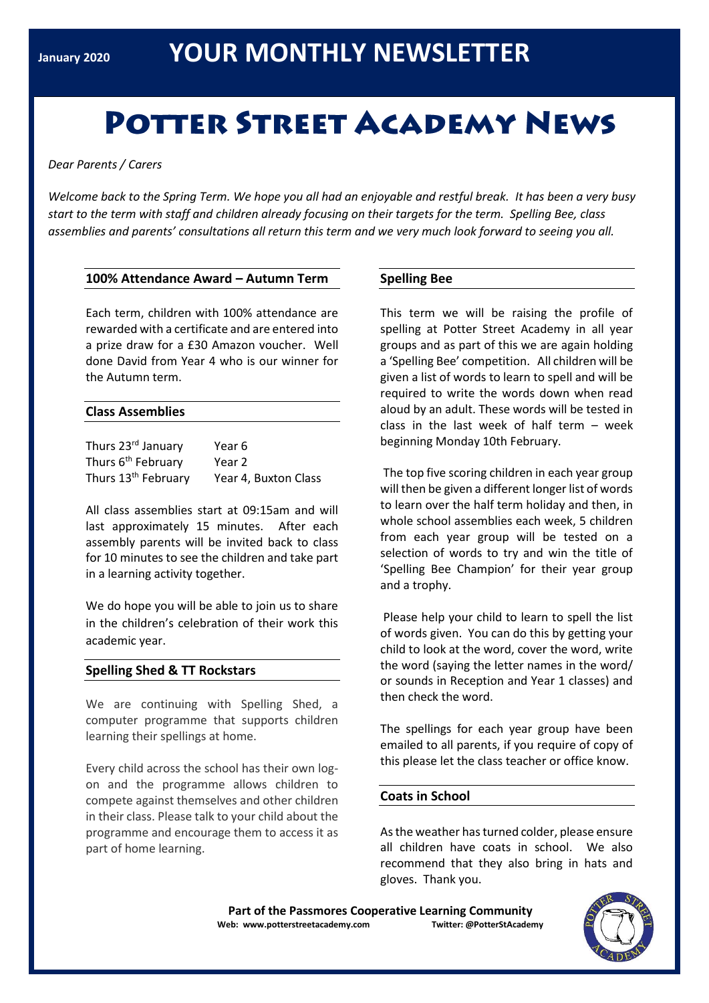# **POTTER STREET ACADEMY NEWS**

*Dear Parents / Carers*

*Welcome back to the Spring Term. We hope you all had an enjoyable and restful break. It has been a very busy start to the term with staff and children already focusing on their targets for the term. Spelling Bee, class assemblies and parents' consultations all return this term and we very much look forward to seeing you all.*

## **100% Attendance Award – Autumn Term**

Each term, children with 100% attendance are rewarded with a certificate and are entered into a prize draw for a £30 Amazon voucher. Well done David from Year 4 who is our winner for the Autumn term.

#### **Class Assemblies**

| Thurs 23rd January              | Year 6               |
|---------------------------------|----------------------|
| Thurs 6 <sup>th</sup> February  | Year 2               |
| Thurs 13 <sup>th</sup> February | Year 4, Buxton Class |

All class assemblies start at 09:15am and will last approximately 15 minutes. After each assembly parents will be invited back to class for 10 minutes to see the children and take part in a learning activity together.

We do hope you will be able to join us to share in the children's celebration of their work this academic year.

# **Spelling Shed & TT Rockstars**

We are continuing with Spelling Shed, a computer programme that supports children learning their spellings at home.

Every child across the school has their own logon and the programme allows children to compete against themselves and other children in their class. Please talk to your child about the programme and encourage them to access it as part of home learning.

## **Spelling Bee**

This term we will be raising the profile of spelling at Potter Street Academy in all year groups and as part of this we are again holding a 'Spelling Bee' competition. All children will be given a list of words to learn to spell and will be required to write the words down when read aloud by an adult. These words will be tested in class in the last week of half term – week beginning Monday 10th February.

The top five scoring children in each year group will then be given a different longer list of words to learn over the half term holiday and then, in whole school assemblies each week, 5 children from each year group will be tested on a selection of words to try and win the title of 'Spelling Bee Champion' for their year group and a trophy.

Please help your child to learn to spell the list of words given. You can do this by getting your child to look at the word, cover the word, write the word (saying the letter names in the word/ or sounds in Reception and Year 1 classes) and then check the word.

The spellings for each year group have been emailed to all parents, if you require of copy of this please let the class teacher or office know.

#### **Coats in School**

As the weather has turned colder, please ensure all children have coats in school. We also recommend that they also bring in hats and gloves. Thank you.

**Part of the Passmores Cooperative Learning Community Web: www.potterstreetacademy.com Twitter: @PotterStAcademy**

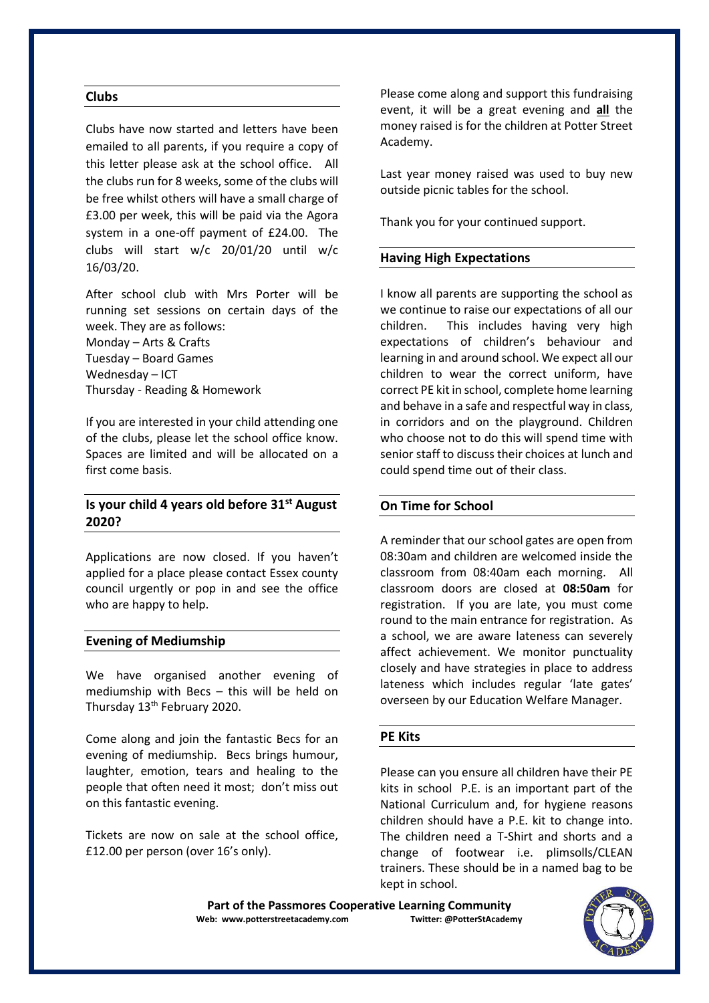#### **Clubs**

Clubs have now started and letters have been emailed to all parents, if you require a copy of this letter please ask at the school office. All the clubs run for 8 weeks, some of the clubs will be free whilst others will have a small charge of £3.00 per week, this will be paid via the Agora system in a one-off payment of £24.00. The clubs will start w/c 20/01/20 until w/c 16/03/20.

After school club with Mrs Porter will be running set sessions on certain days of the week. They are as follows:

Monday – Arts & Crafts Tuesday – Board Games Wednesday – ICT Thursday - Reading & Homework

If you are interested in your child attending one of the clubs, please let the school office know. Spaces are limited and will be allocated on a first come basis.

# **Is your child 4 years old before 31st August 2020?**

Applications are now closed. If you haven't applied for a place please contact Essex county council urgently or pop in and see the office who are happy to help.

#### **Evening of Mediumship**

We have organised another evening of mediumship with Becs – this will be held on Thursday 13<sup>th</sup> February 2020.

Come along and join the fantastic Becs for an evening of mediumship. Becs brings humour, laughter, emotion, tears and healing to the people that often need it most; don't miss out on this fantastic evening.

Tickets are now on sale at the school office, £12.00 per person (over 16's only).

Please come along and support this fundraising event, it will be a great evening and **all** the money raised is for the children at Potter Street Academy.

Last year money raised was used to buy new outside picnic tables for the school.

Thank you for your continued support.

#### **Having High Expectations**

I know all parents are supporting the school as we continue to raise our expectations of all our children. This includes having very high expectations of children's behaviour and learning in and around school. We expect all our children to wear the correct uniform, have correct PE kit in school, complete home learning and behave in a safe and respectful way in class, in corridors and on the playground. Children who choose not to do this will spend time with senior staff to discuss their choices at lunch and could spend time out of their class.

## **On Time for School**

A reminder that our school gates are open from 08:30am and children are welcomed inside the classroom from 08:40am each morning. All classroom doors are closed at **08:50am** for registration. If you are late, you must come round to the main entrance for registration. As a school, we are aware lateness can severely affect achievement. We monitor punctuality closely and have strategies in place to address lateness which includes regular 'late gates' overseen by our Education Welfare Manager.

#### **PE Kits**

Please can you ensure all children have their PE kits in school P.E. is an important part of the National Curriculum and, for hygiene reasons children should have a P.E. kit to change into. The children need a T-Shirt and shorts and a change of footwear i.e. plimsolls/CLEAN trainers. These should be in a named bag to be kept in school.

**Part of the Passmores Cooperative Learning Community Web: www.potterstreetacademy.com Twitter: @PotterStAcademy**

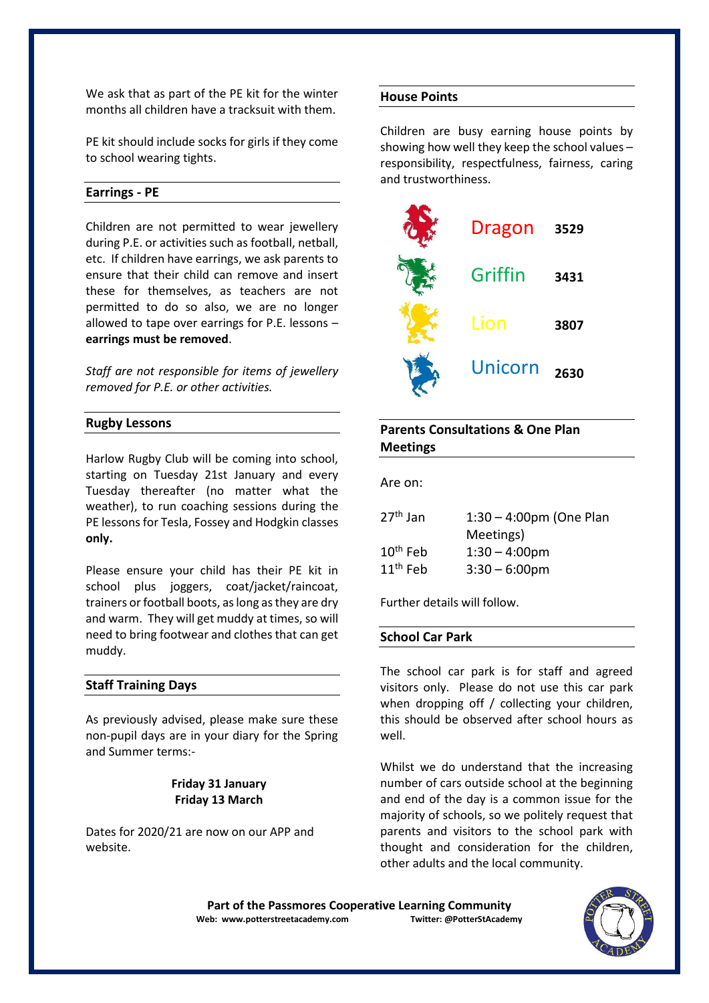We ask that as part of the PE kit for the winter months all children have a tracksuit with them.

PE kit should include socks for girls if they come to school wearing tights.

#### **Earrings - PE**

Children are not permitted to wear jewellery during P.E. or activities such as football, netball, etc. If children have earrings, we ask parents to ensure that their child can remove and insert these for themselves, as teachers are not permitted to do so also, we are no longer allowed to tape over earrings for P.E. lessons – **earrings must be removed**.

*Staff are not responsible for items of jewellery removed for P.E. or other activities.*

#### **Rugby Lessons**

Harlow Rugby Club will be coming into school, starting on Tuesday 21st January and every Tuesday thereafter (no matter what the weather), to run coaching sessions during the PE lessons for Tesla, Fossey and Hodgkin classes **only.**

Please ensure your child has their PE kit in school plus joggers, coat/jacket/raincoat, trainers or football boots, as long as they are dry and warm. They will get muddy at times, so will need to bring footwear and clothes that can get muddy.

## **Staff Training Days**

As previously advised, please make sure these non-pupil days are in your diary for the Spring and Summer terms:-

# **Friday 31 January Friday 13 March**

Dates for 2020/21 are now on our APP and website.

#### **House Points**

Children are busy earning house points by showing how well they keep the school values – responsibility, respectfulness, fairness, caring and trustworthiness.



# **Parents Consultations & One Plan Meetings**

Are on:

| $27th$ Jan | $1:30 - 4:00$ pm (One Plan |
|------------|----------------------------|
|            | Meetings)                  |
| $10th$ Feb | $1:30 - 4:00 \text{pm}$    |
| $11th$ Feb | $3:30 - 6:00$ pm           |

Further details will follow.

# **School Car Park**

The school car park is for staff and agreed visitors only. Please do not use this car park when dropping off / collecting your children, this should be observed after school hours as well.

Whilst we do understand that the increasing number of cars outside school at the beginning and end of the day is a common issue for the majority of schools, so we politely request that parents and visitors to the school park with thought and consideration for the children, other adults and the local community.

Part of the Passmores Cooperative Learning Community<br>eb: www.potterstreetacademy.com **Twitter: @PotterStAcademy Web: www.potterstreetacademy.com**